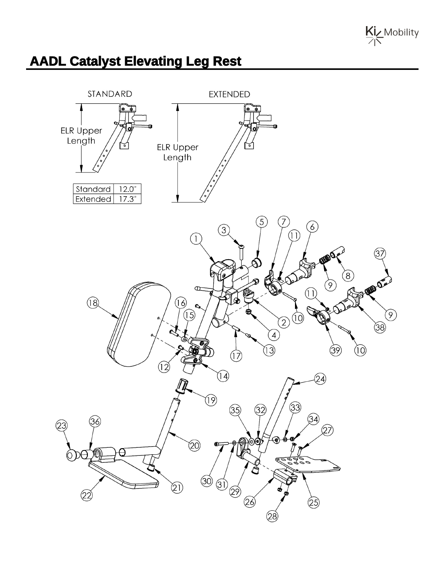

## **AADL Catalyst Elevating Leg Rest**

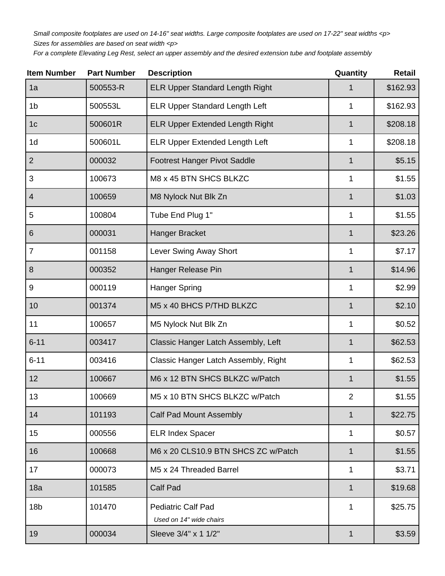Small composite footplates are used on 14-16" seat widths. Large composite footplates are used on 17-22" seat widths <p> Sizes for assemblies are based on seat width <p>

For a complete Elevating Leg Rest, select an upper assembly and the desired extension tube and footplate assembly

| <b>Item Number</b> | <b>Part Number</b> | <b>Description</b>                     | Quantity       | <b>Retail</b> |
|--------------------|--------------------|----------------------------------------|----------------|---------------|
| 1a                 | 500553-R           | <b>ELR Upper Standard Length Right</b> |                | \$162.93      |
| 1 <sub>b</sub>     | 500553L            | <b>ELR Upper Standard Length Left</b>  | 1              | \$162.93      |
| 1 <sub>c</sub>     | 500601R            | <b>ELR Upper Extended Length Right</b> | $\mathbf 1$    | \$208.18      |
| 1 <sub>d</sub>     | 500601L            | <b>ELR Upper Extended Length Left</b>  | 1              | \$208.18      |
| $\overline{2}$     | 000032             | <b>Footrest Hanger Pivot Saddle</b>    | 1              | \$5.15        |
| 3                  | 100673             | M8 x 45 BTN SHCS BLKZC                 | 1              | \$1.55        |
| $\overline{4}$     | 100659             | M8 Nylock Nut Blk Zn                   | 1              | \$1.03        |
| 5                  | 100804             | Tube End Plug 1"                       | 1              | \$1.55        |
| $6\phantom{1}$     | 000031             | Hanger Bracket                         | 1              | \$23.26       |
| $\overline{7}$     | 001158             | Lever Swing Away Short                 | 1              | \$7.17        |
| 8                  | 000352             | Hanger Release Pin                     | 1              | \$14.96       |
| 9                  | 000119             | Hanger Spring                          | 1              | \$2.99        |
| 10                 | 001374             | M5 x 40 BHCS P/THD BLKZC               | 1              | \$2.10        |
| 11                 | 100657             | M5 Nylock Nut Blk Zn                   | 1              | \$0.52        |
| $6 - 11$           | 003417             | Classic Hanger Latch Assembly, Left    | $\mathbf 1$    | \$62.53       |
| $6 - 11$           | 003416             | Classic Hanger Latch Assembly, Right   | 1              | \$62.53       |
| 12                 | 100667             | M6 x 12 BTN SHCS BLKZC w/Patch         | 1              | \$1.55        |
| 13                 | 100669             | M5 x 10 BTN SHCS BLKZC w/Patch         | $\overline{2}$ | \$1.55        |
| 14                 | 101193             | <b>Calf Pad Mount Assembly</b>         | 1              | \$22.75       |
| 15                 | 000556             | <b>ELR Index Spacer</b>                | 1              | \$0.57        |
| 16                 | 100668             | M6 x 20 CLS10.9 BTN SHCS ZC w/Patch    | $\mathbf 1$    | \$1.55        |
| 17                 | 000073             | M5 x 24 Threaded Barrel                | 1              | \$3.71        |
| 18a                | 101585             | <b>Calf Pad</b>                        | 1              | \$19.68       |
| 18 <sub>b</sub>    | 101470             | <b>Pediatric Calf Pad</b>              | 1              | \$25.75       |
|                    |                    | Used on 14" wide chairs                |                |               |
| 19                 | 000034             | Sleeve 3/4" x 1 1/2"                   | $\mathbf{1}$   | \$3.59        |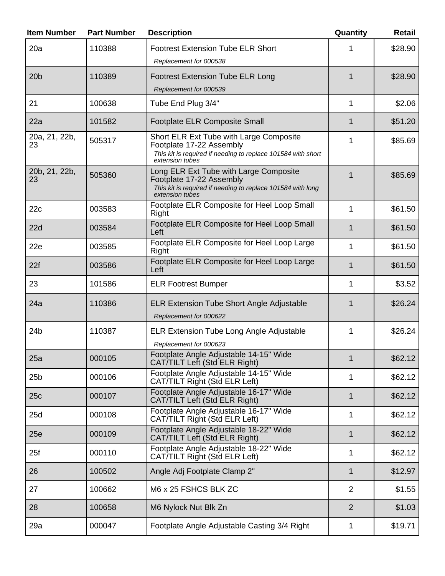| <b>Item Number</b>  | <b>Part Number</b> | <b>Description</b>                                                                                                                                     | Quantity       | <b>Retail</b> |
|---------------------|--------------------|--------------------------------------------------------------------------------------------------------------------------------------------------------|----------------|---------------|
| 20a                 | 110388             | <b>Footrest Extension Tube ELR Short</b><br>Replacement for 000538                                                                                     |                | \$28.90       |
| 20 <sub>b</sub>     | 110389             | <b>Footrest Extension Tube ELR Long</b><br>Replacement for 000539                                                                                      | 1              | \$28.90       |
| 21                  | 100638             | Tube End Plug 3/4"                                                                                                                                     | 1              | \$2.06        |
| 22a                 | 101582             | <b>Footplate ELR Composite Small</b>                                                                                                                   | 1              | \$51.20       |
| 20a, 21, 22b,<br>23 | 505317             | Short ELR Ext Tube with Large Composite<br>Footplate 17-22 Assembly<br>This kit is required if needing to replace 101584 with short<br>extension tubes | 1              | \$85.69       |
| 20b, 21, 22b,<br>23 | 505360             | Long ELR Ext Tube with Large Composite<br>Footplate 17-22 Assembly<br>This kit is required if needing to replace 101584 with long<br>extension tubes   | 1              | \$85.69       |
| 22c                 | 003583             | Footplate ELR Composite for Heel Loop Small<br>Right                                                                                                   | 1              | \$61.50       |
| 22d                 | 003584             | Footplate ELR Composite for Heel Loop Small<br>Left                                                                                                    | 1              | \$61.50       |
| 22e                 | 003585             | Footplate ELR Composite for Heel Loop Large<br>Right                                                                                                   | 1              | \$61.50       |
| 22f                 | 003586             | Footplate ELR Composite for Heel Loop Large<br>Left                                                                                                    | 1              | \$61.50       |
| 23                  | 101586             | <b>ELR Footrest Bumper</b>                                                                                                                             | 1              | \$3.52        |
| 24a                 | 110386             | <b>ELR Extension Tube Short Angle Adjustable</b><br>Replacement for 000622                                                                             | 1              | \$26.24       |
| 24 <sub>b</sub>     | 110387             | <b>ELR Extension Tube Long Angle Adjustable</b><br>Replacement for 000623                                                                              | 1              | \$26.24       |
| 25a                 | 000105             | Footplate Angle Adjustable 14-15" Wide<br>CAT/TILT Left (Std ELR Right)                                                                                | 1              | \$62.12       |
| 25 <sub>b</sub>     | 000106             | Footplate Angle Adjustable 14-15" Wide<br>CAT/TILT Right (Std ELR Left)                                                                                | 1              | \$62.12       |
| 25c                 | 000107             | Footplate Angle Adjustable 16-17" Wide<br>CAT/TILT Left (Std ELR Right)                                                                                | $\mathbf 1$    | \$62.12       |
| 25d                 | 000108             | Footplate Angle Adjustable 16-17" Wide<br>CAT/TILT Right (Std ELR Left)                                                                                | 1              | \$62.12       |
| 25e                 | 000109             | Footplate Angle Adjustable 18-22" Wide<br>CAT/TILT Left (Std ELR Right)                                                                                | 1              | \$62.12       |
| 25f                 | 000110             | Footplate Angle Adjustable 18-22" Wide<br>CAT/TILT Right (Std ELR Left)                                                                                | 1              | \$62.12       |
| 26                  | 100502             | Angle Adj Footplate Clamp 2"                                                                                                                           | $\mathbf{1}$   | \$12.97       |
| 27                  | 100662             | M6 x 25 FSHCS BLK ZC                                                                                                                                   | $\overline{2}$ | \$1.55        |
| 28                  | 100658             | M6 Nylock Nut Blk Zn                                                                                                                                   | $\overline{2}$ | \$1.03        |
| 29a                 | 000047             | Footplate Angle Adjustable Casting 3/4 Right                                                                                                           | 1              | \$19.71       |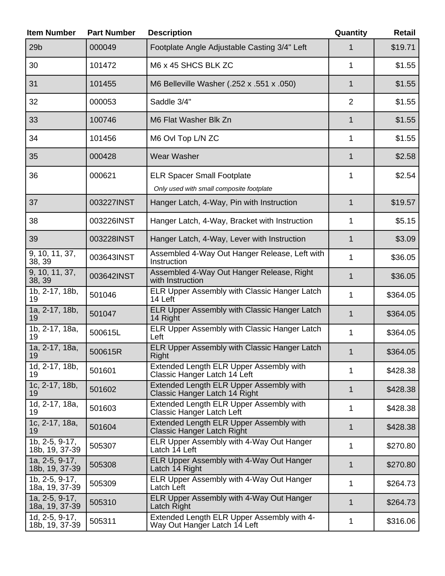| <b>Item Number</b>                             | <b>Part Number</b> | <b>Description</b>                                                                  | Quantity       | Retail   |
|------------------------------------------------|--------------------|-------------------------------------------------------------------------------------|----------------|----------|
| 29 <sub>b</sub>                                | 000049             | Footplate Angle Adjustable Casting 3/4" Left                                        | 1              | \$19.71  |
| 30                                             | 101472             | M6 x 45 SHCS BLK ZC                                                                 | 1              | \$1.55   |
| 31                                             | 101455             | M6 Belleville Washer (.252 x .551 x .050)                                           | $\mathbf 1$    | \$1.55   |
| 32                                             | 000053             | Saddle 3/4"                                                                         | $\overline{2}$ | \$1.55   |
| 33                                             | 100746             | M6 Flat Washer Blk Zn                                                               | 1              | \$1.55   |
| 34                                             | 101456             | M6 Ovl Top L/N ZC                                                                   | 1              | \$1.55   |
| 35                                             | 000428             | <b>Wear Washer</b>                                                                  | 1              | \$2.58   |
| 36                                             | 000621             | <b>ELR Spacer Small Footplate</b><br>Only used with small composite footplate       | 1              | \$2.54   |
| 37                                             | 003227INST         | Hanger Latch, 4-Way, Pin with Instruction                                           | $\mathbf 1$    | \$19.57  |
| 38                                             | 003226INST         | Hanger Latch, 4-Way, Bracket with Instruction                                       | 1              | \$5.15   |
| 39                                             | 003228INST         | Hanger Latch, 4-Way, Lever with Instruction                                         | $\mathbf 1$    | \$3.09   |
| 9, 10, 11, 37,<br>38, 39                       | 003643INST         | Assembled 4-Way Out Hanger Release, Left with<br>Instruction                        | 1              | \$36.05  |
| 9, 10, 11, 37,<br>38, 39                       | 003642INST         | Assembled 4-Way Out Hanger Release, Right<br>with Instruction                       | $\mathbf{1}$   | \$36.05  |
| 1b, 2-17, 18b,<br>19                           | 501046             | ELR Upper Assembly with Classic Hanger Latch<br>14 Left                             | 1              | \$364.05 |
| 1a, 2-17, 18b,<br>19                           | 501047             | ELR Upper Assembly with Classic Hanger Latch<br>14 Right                            | 1              | \$364.05 |
| 1b, 2-17, 18a,<br>19                           | 500615L            | ELR Upper Assembly with Classic Hanger Latch<br>Left                                | $\mathbf{1}$   | \$364.05 |
| 1a, 2-17, 18a,<br>19                           | 500615R            | ELR Upper Assembly with Classic Hanger Latch<br>Right                               | 1              | \$364.05 |
| 1d, 2-17, 18b,<br>19                           | 501601             | Extended Length ELR Upper Assembly with<br>Classic Hanger Latch 14 Left             | 1              | \$428.38 |
| 1c, 2-17, 18b,<br>19                           | 501602             | Extended Length ELR Upper Assembly with<br>Classic Hanger Latch 14 Right            | $\mathbf{1}$   | \$428.38 |
| 1d, 2-17, 18a,<br>19                           | 501603             | Extended Length ELR Upper Assembly with<br>Classic Hanger Latch Left                | 1              | \$428.38 |
| 1c, 2-17, 18a,<br>19                           | 501604             | <b>Extended Length ELR Upper Assembly with</b><br><b>Classic Hanger Latch Right</b> | $\mathbf{1}$   | \$428.38 |
| 1b, 2-5, 9-17,<br>18b, 19, 37-39               | 505307             | ELR Upper Assembly with 4-Way Out Hanger<br>Latch 14 Left                           | 1              | \$270.80 |
| 1a, 2-5, 9-17,<br>18b, 19, 37-39               | 505308             | ELR Upper Assembly with 4-Way Out Hanger<br>Latch 14 Right                          | $\mathbf 1$    | \$270.80 |
| 1b, 2-5, 9-17,<br>18a, 19, 37-39               | 505309             | ELR Upper Assembly with 4-Way Out Hanger<br>Latch Left                              | 1              | \$264.73 |
| 1a, 2-5, 9-17,<br>18a, 19, 37-39               | 505310             | ELR Upper Assembly with 4-Way Out Hanger<br>Latch Right                             | $\mathbf{1}$   | \$264.73 |
| $\overline{1d}$ , 2-5, 9-17,<br>18b, 19, 37-39 | 505311             | Extended Length ELR Upper Assembly with 4-<br>Way Out Hanger Latch 14 Left          | 1              | \$316.06 |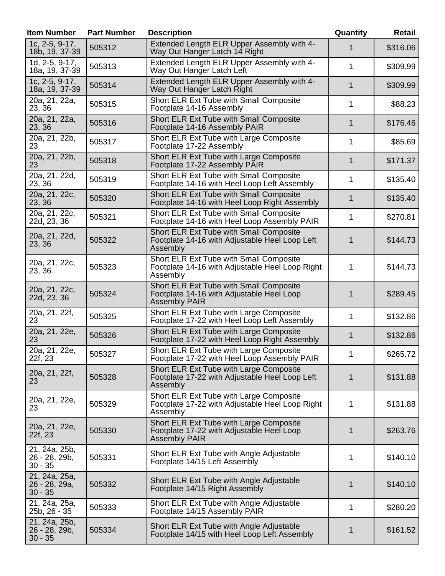| <b>Item Number</b>                          | <b>Part Number</b> | <b>Description</b>                                                                                           | Quantity | <b>Retail</b> |
|---------------------------------------------|--------------------|--------------------------------------------------------------------------------------------------------------|----------|---------------|
| 1c, 2-5, 9-17,<br>18b, 19, 37-39            | 505312             | Extended Length ELR Upper Assembly with 4-<br>Way Out Hanger Latch 14 Right                                  | 1        | \$316.06      |
| 1d, 2-5, 9-17,<br>18a, 19, 37-39            | 505313             | Extended Length ELR Upper Assembly with 4-<br>Way Out Hanger Latch Left                                      | 1        | \$309.99      |
| 1c, 2-5, 9-17,<br>18a, 19, 37-39            | 505314             | Extended Length ELR Upper Assembly with 4-<br>Way Out Hanger Latch Right                                     | 1        | \$309.99      |
| 20a, 21, 22a,<br>23, 36                     | 505315             | Short ELR Ext Tube with Small Composite<br>Footplate 14-16 Assembly                                          | 1        | \$88.23       |
| 20a, 21, 22a,<br>23, 36                     | 505316             | Short ELR Ext Tube with Small Composite<br>Footplate 14-16 Assembly PAIR                                     | 1        | \$176.46      |
| 20a, 21, 22b,<br>23                         | 505317             | Short ELR Ext Tube with Large Composite<br>Footplate 17-22 Assembly                                          | 1        | \$85.69       |
| 20a, 21, 22b,<br>23                         | 505318             | Short ELR Ext Tube with Large Composite<br>Footplate 17-22 Assembly PAIR                                     | 1        | \$171.37      |
| 20a, 21, 22d,<br>23, 36                     | 505319             | Short ELR Ext Tube with Small Composite<br>Footplate 14-16 with Heel Loop Left Assembly                      | 1        | \$135.40      |
| 20a, 21, 22c,<br>23, 36                     | 505320             | Short ELR Ext Tube with Small Composite<br>Footplate 14-16 with Heel Loop Right Assembly                     | 1        | \$135.40      |
| 20a, 21, 22c,<br>22d, 23, 36                | 505321             | Short ELR Ext Tube with Small Composite<br>Footplate 14-16 with Heel Loop Assembly PAIR                      | 1        | \$270.81      |
| 20a, 21, 22d,<br>23, 36                     | 505322             | Short ELR Ext Tube with Small Composite<br>Footplate 14-16 with Adjustable Heel Loop Left<br>Assembly        | 1        | \$144.73      |
| 20a, 21, 22c,<br>23, 36                     | 505323             | Short ELR Ext Tube with Small Composite<br>Footplate 14-16 with Adjustable Heel Loop Right<br>Assembly       | 1        | \$144.73      |
| 20a, 21, 22c,<br>22d, 23, 36                | 505324             | Short ELR Ext Tube with Small Composite<br>Footplate 14-16 with Adjustable Heel Loop<br><b>Assembly PAIR</b> | 1        | \$289.45      |
| 20a, 21, 22f,<br>23                         | 505325             | Short ELR Ext Tube with Large Composite<br>Footplate 17-22 with Heel Loop Left Assembly                      | 1        | \$132.86      |
| 20a, 21, 22e,<br>23                         | 505326             | Short ELR Ext Tube with Large Composite<br>Footplate 17-22 with Heel Loop Right Assembly                     | 1        | \$132.86      |
| 20a, 21, 22e,<br>22f, 23                    | 505327             | Short ELR Ext Tube with Large Composite<br>Footplate 17-22 with Heel Loop Assembly PAIR                      | 1        | \$265.72      |
| 20a, 21, 22f,<br>23                         | 505328             | Short ELR Ext Tube with Large Composite<br>Footplate 17-22 with Adjustable Heel Loop Left<br>Assembly        | 1        | \$131.88      |
| 20a, 21, 22e,<br>23                         | 505329             | Short ELR Ext Tube with Large Composite<br>Footplate 17-22 with Adjustable Heel Loop Right<br>Assembly       | 1        | \$131.88      |
| 20a, 21, 22e,<br>22f, 23                    | 505330             | Short ELR Ext Tube with Large Composite<br>Footplate 17-22 with Adjustable Heel Loop<br><b>Assembly PAIR</b> | 1        | \$263.76      |
| 21, 24a, 25b,<br>26 - 28, 29b,<br>$30 - 35$ | 505331             | Short ELR Ext Tube with Angle Adjustable<br>Footplate 14/15 Left Assembly                                    | 1        | \$140.10      |
| 21, 24a, 25a,<br>26 - 28, 29a,<br>$30 - 35$ | 505332             | Short ELR Ext Tube with Angle Adjustable<br>Footplate 14/15 Right Assembly                                   | 1        | \$140.10      |
| 21, 24a, 25a,<br>25b, 26 - 35               | 505333             | Short ELR Ext Tube with Angle Adjustable<br>Footplate 14/15 Assembly PAIR                                    | 1        | \$280.20      |
| 21, 24a, 25b,<br>26 - 28, 29b,<br>$30 - 35$ | 505334             | Short ELR Ext Tube with Angle Adjustable<br>Footplate 14/15 with Heel Loop Left Assembly                     | 1        | \$161.52      |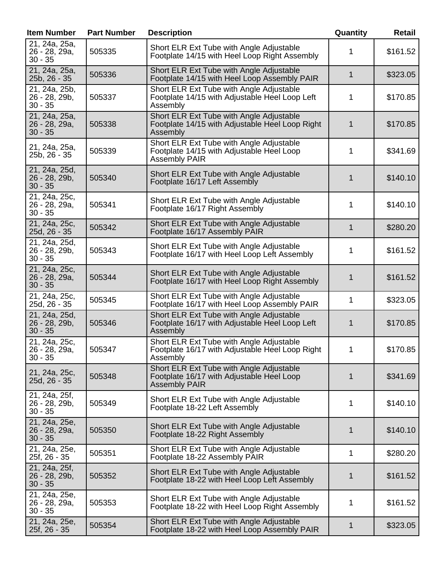| <b>Item Number</b>                          | <b>Part Number</b> | <b>Description</b>                                                                                            | Quantity     | Retail   |
|---------------------------------------------|--------------------|---------------------------------------------------------------------------------------------------------------|--------------|----------|
| 21, 24a, 25a,<br>26 - 28, 29a,<br>$30 - 35$ | 505335             | Short ELR Ext Tube with Angle Adjustable<br>Footplate 14/15 with Heel Loop Right Assembly                     | 1            | \$161.52 |
| 21, 24a, 25a,<br>25b, 26 - 35               | 505336             | Short ELR Ext Tube with Angle Adjustable<br>Footplate 14/15 with Heel Loop Assembly PAIR                      | $\mathbf 1$  | \$323.05 |
| 21, 24a, 25b,<br>26 - 28, 29b,<br>$30 - 35$ | 505337             | Short ELR Ext Tube with Angle Adjustable<br>Footplate 14/15 with Adjustable Heel Loop Left<br>Assembly        | 1            | \$170.85 |
| 21, 24a, 25a,<br>26 - 28, 29a,<br>$30 - 35$ | 505338             | Short ELR Ext Tube with Angle Adjustable<br>Footplate 14/15 with Adjustable Heel Loop Right<br>Assembly       | 1            | \$170.85 |
| 21, 24a, 25a,<br>25b, 26 - 35               | 505339             | Short ELR Ext Tube with Angle Adjustable<br>Footplate 14/15 with Adjustable Heel Loop<br><b>Assembly PAIR</b> | 1            | \$341.69 |
| 21, 24a, 25d,<br>26 - 28, 29b,<br>$30 - 35$ | 505340             | Short ELR Ext Tube with Angle Adjustable<br>Footplate 16/17 Left Assembly                                     | 1            | \$140.10 |
| 21, 24a, 25c,<br>26 - 28, 29a,<br>$30 - 35$ | 505341             | Short ELR Ext Tube with Angle Adjustable<br>Footplate 16/17 Right Assembly                                    | 1            | \$140.10 |
| 21, 24a, 25c,<br>25d, 26 - 35               | 505342             | Short ELR Ext Tube with Angle Adjustable<br>Footplate 16/17 Assembly PAIR                                     | $\mathbf{1}$ | \$280.20 |
| 21, 24a, 25d,<br>26 - 28, 29b,<br>$30 - 35$ | 505343             | Short ELR Ext Tube with Angle Adjustable<br>Footplate 16/17 with Heel Loop Left Assembly                      | 1            | \$161.52 |
| 21, 24a, 25c,<br>26 - 28, 29a,<br>$30 - 35$ | 505344             | Short ELR Ext Tube with Angle Adjustable<br>Footplate 16/17 with Heel Loop Right Assembly                     | 1            | \$161.52 |
| 21, 24a, 25c,<br>25d, 26 - 35               | 505345             | Short ELR Ext Tube with Angle Adjustable<br>Footplate 16/17 with Heel Loop Assembly PAIR                      | 1            | \$323.05 |
| 21, 24a, 25d,<br>26 - 28, 29b,<br>$30 - 35$ | 505346             | Short ELR Ext Tube with Angle Adjustable<br>Footplate 16/17 with Adjustable Heel Loop Left<br>Assembly        | 1            | \$170.85 |
| 21, 24a, 25c,<br>26 - 28, 29a,<br>$30 - 35$ | 505347             | Short ELR Ext Tube with Angle Adjustable<br>Footplate 16/17 with Adjustable Heel Loop Right<br>Assembly       | 1            | \$170.85 |
| 21, 24a, 25c,<br>25d, 26 - 35               | 505348             | Short ELR Ext Tube with Angle Adjustable<br>Footplate 16/17 with Adjustable Heel Loop<br><b>Assembly PAIR</b> | 1            | \$341.69 |
| 21, 24a, 25f,<br>26 - 28, 29b,<br>$30 - 35$ | 505349             | Short ELR Ext Tube with Angle Adjustable<br>Footplate 18-22 Left Assembly                                     | 1            | \$140.10 |
| 21, 24a, 25e,<br>26 - 28, 29a,<br>$30 - 35$ | 505350             | Short ELR Ext Tube with Angle Adjustable<br>Footplate 18-22 Right Assembly                                    | 1            | \$140.10 |
| 21, 24a, 25e,<br>25f, 26 - 35               | 505351             | Short ELR Ext Tube with Angle Adjustable<br>Footplate 18-22 Assembly PAIR                                     | 1            | \$280.20 |
| 21, 24a, 25f,<br>26 - 28, 29b,<br>$30 - 35$ | 505352             | Short ELR Ext Tube with Angle Adjustable<br>Footplate 18-22 with Heel Loop Left Assembly                      | 1            | \$161.52 |
| 21, 24a, 25e,<br>26 - 28, 29a,<br>$30 - 35$ | 505353             | Short ELR Ext Tube with Angle Adjustable<br>Footplate 18-22 with Heel Loop Right Assembly                     | 1            | \$161.52 |
| 21, 24a, 25e,<br>25f, 26 - 35               | 505354             | Short ELR Ext Tube with Angle Adjustable<br>Footplate 18-22 with Heel Loop Assembly PAIR                      | 1            | \$323.05 |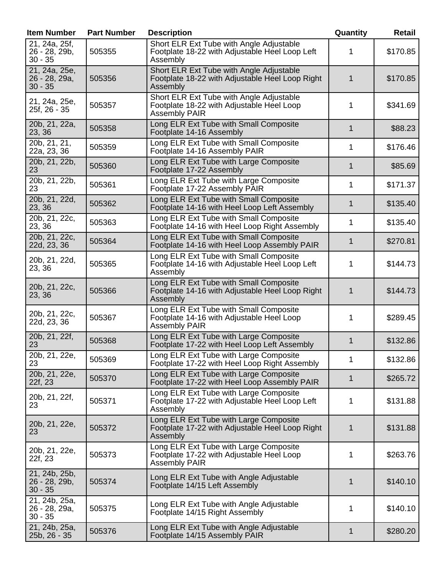| <b>Item Number</b>                          | <b>Part Number</b> | <b>Description</b>                                                                                            | Quantity    | <b>Retail</b> |
|---------------------------------------------|--------------------|---------------------------------------------------------------------------------------------------------------|-------------|---------------|
| 21, 24a, 25f,<br>26 - 28, 29b,<br>$30 - 35$ | 505355             | Short ELR Ext Tube with Angle Adjustable<br>Footplate 18-22 with Adjustable Heel Loop Left<br>Assembly        | 1           | \$170.85      |
| 21, 24a, 25e,<br>26 - 28, 29a,<br>$30 - 35$ | 505356             | Short ELR Ext Tube with Angle Adjustable<br>Footplate 18-22 with Adjustable Heel Loop Right<br>Assembly       | 1           | \$170.85      |
| 21, 24a, 25e,<br>25f, 26 - 35               | 505357             | Short ELR Ext Tube with Angle Adjustable<br>Footplate 18-22 with Adjustable Heel Loop<br><b>Assembly PAIR</b> | 1           | \$341.69      |
| 20b, 21, 22a,<br>23, 36                     | 505358             | Long ELR Ext Tube with Small Composite<br>Footplate 14-16 Assembly                                            | $\mathbf 1$ | \$88.23       |
| 20b, 21, 21,<br>22a, 23, 36                 | 505359             | Long ELR Ext Tube with Small Composite<br>Footplate 14-16 Assembly PAIR                                       | 1           | \$176.46      |
| 20b, 21, 22b,<br>23                         | 505360             | Long ELR Ext Tube with Large Composite<br>Footplate 17-22 Assembly                                            | 1           | \$85.69       |
| 20b, 21, 22b,<br>23                         | 505361             | Long ELR Ext Tube with Large Composite<br>Footplate 17-22 Assembly PAIR                                       | 1           | \$171.37      |
| 20b, 21, 22d,<br>23, 36                     | 505362             | Long ELR Ext Tube with Small Composite<br>Footplate 14-16 with Heel Loop Left Assembly                        | 1           | \$135.40      |
| 20b, 21, 22c,<br>23, 36                     | 505363             | Long ELR Ext Tube with Small Composite<br>Footplate 14-16 with Heel Loop Right Assembly                       | 1           | \$135.40      |
| 20b, 21, 22c,<br>22d, 23, 36                | 505364             | Long ELR Ext Tube with Small Composite<br>Footplate 14-16 with Heel Loop Assembly PAIR                        | 1           | \$270.81      |
| 20b, 21, 22d,<br>23, 36                     | 505365             | Long ELR Ext Tube with Small Composite<br>Footplate 14-16 with Adjustable Heel Loop Left<br>Assembly          | 1           | \$144.73      |
| 20b, 21, 22c,<br>23, 36                     | 505366             | Long ELR Ext Tube with Small Composite<br>Footplate 14-16 with Adjustable Heel Loop Right<br>Assembly         | 1           | \$144.73      |
| 20b, 21, 22c,<br>22d, 23, 36                | 505367             | Long ELR Ext Tube with Small Composite<br>Footplate 14-16 with Adjustable Heel Loop<br><b>Assembly PAIR</b>   | 1           | \$289.45      |
| 20b, 21, 22f,<br>23                         | 505368             | Long ELR Ext Tube with Large Composite<br>Footplate 17-22 with Heel Loop Left Assembly                        | 1           | \$132.86      |
| 20b, 21, 22e,<br>23                         | 505369             | Long ELR Ext Tube with Large Composite<br>Footplate 17-22 with Heel Loop Right Assembly                       | 1           | \$132.86      |
| 20b, 21, 22e,<br>22f, 23                    | 505370             | Long ELR Ext Tube with Large Composite<br>Footplate 17-22 with Heel Loop Assembly PAIR                        | 1           | \$265.72      |
| 20b, 21, 22f,<br>23                         | 505371             | Long ELR Ext Tube with Large Composite<br>Footplate 17-22 with Adjustable Heel Loop Left<br>Assembly          | 1           | \$131.88      |
| 20b, 21, 22e,<br>23                         | 505372             | Long ELR Ext Tube with Large Composite<br>Footplate 17-22 with Adjustable Heel Loop Right<br>Assembly         | 1           | \$131.88      |
| 20b, 21, 22e,<br>22f, 23                    | 505373             | Long ELR Ext Tube with Large Composite<br>Footplate 17-22 with Adjustable Heel Loop<br><b>Assembly PAIR</b>   | 1           | \$263.76      |
| 21, 24b, 25b,<br>26 - 28, 29b,<br>$30 - 35$ | 505374             | Long ELR Ext Tube with Angle Adjustable<br>Footplate 14/15 Left Assembly                                      | 1           | \$140.10      |
| 21, 24b, 25a,<br>26 - 28, 29a,<br>$30 - 35$ | 505375             | Long ELR Ext Tube with Angle Adjustable<br>Footplate 14/15 Right Assembly                                     | 1           | \$140.10      |
| 21, 24b, 25a,<br>25b, 26 - 35               | 505376             | Long ELR Ext Tube with Angle Adjustable<br>Footplate 14/15 Assembly PAIR                                      | 1           | \$280.20      |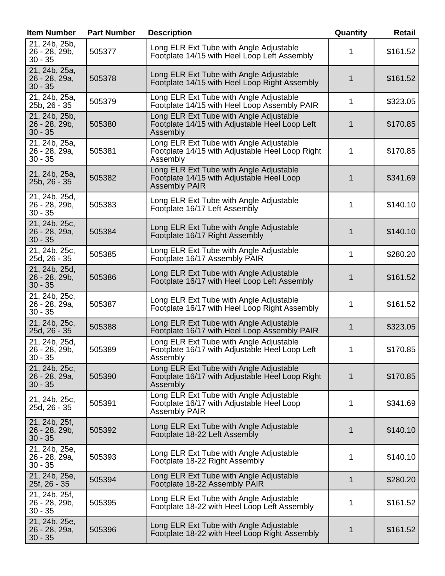| <b>Item Number</b>                          | <b>Part Number</b> | <b>Description</b>                                                                                           | Quantity | Retail   |
|---------------------------------------------|--------------------|--------------------------------------------------------------------------------------------------------------|----------|----------|
| 21, 24b, 25b,<br>26 - 28, 29b,<br>$30 - 35$ | 505377             | Long ELR Ext Tube with Angle Adjustable<br>Footplate 14/15 with Heel Loop Left Assembly                      | 1        | \$161.52 |
| 21, 24b, 25a,<br>26 - 28, 29a,<br>$30 - 35$ | 505378             | Long ELR Ext Tube with Angle Adjustable<br>Footplate 14/15 with Heel Loop Right Assembly                     | 1        | \$161.52 |
| 21, 24b, 25a,<br>25b, 26 - 35               | 505379             | Long ELR Ext Tube with Angle Adjustable<br>Footplate 14/15 with Heel Loop Assembly PAIR                      | 1        | \$323.05 |
| 21, 24b, 25b,<br>26 - 28, 29b,<br>$30 - 35$ | 505380             | Long ELR Ext Tube with Angle Adjustable<br>Footplate 14/15 with Adjustable Heel Loop Left<br>Assembly        | 1        | \$170.85 |
| 21, 24b, 25a,<br>26 - 28, 29a,<br>$30 - 35$ | 505381             | Long ELR Ext Tube with Angle Adjustable<br>Footplate 14/15 with Adjustable Heel Loop Right<br>Assembly       | 1        | \$170.85 |
| 21, 24b, 25a,<br>25b, 26 - 35               | 505382             | Long ELR Ext Tube with Angle Adjustable<br>Footplate 14/15 with Adjustable Heel Loop<br><b>Assembly PAIR</b> | 1        | \$341.69 |
| 21, 24b, 25d,<br>26 - 28, 29b,<br>$30 - 35$ | 505383             | Long ELR Ext Tube with Angle Adjustable<br>Footplate 16/17 Left Assembly                                     | 1        | \$140.10 |
| 21, 24b, 25c,<br>26 - 28, 29a,<br>$30 - 35$ | 505384             | Long ELR Ext Tube with Angle Adjustable<br>Footplate 16/17 Right Assembly                                    | 1        | \$140.10 |
| 21, 24b, 25c,<br>25d, 26 - 35               | 505385             | Long ELR Ext Tube with Angle Adjustable<br>Footplate 16/17 Assembly PAIR                                     | 1        | \$280.20 |
| 21, 24b, 25d,<br>26 - 28, 29b,<br>$30 - 35$ | 505386             | Long ELR Ext Tube with Angle Adjustable<br>Footplate 16/17 with Heel Loop Left Assembly                      | 1        | \$161.52 |
| 21, 24b, 25c,<br>26 - 28, 29a,<br>$30 - 35$ | 505387             | Long ELR Ext Tube with Angle Adjustable<br>Footplate 16/17 with Heel Loop Right Assembly                     | 1        | \$161.52 |
| 21, 24b, 25c,<br>25d, 26 - 35               | 505388             | Long ELR Ext Tube with Angle Adjustable<br>Footplate 16/17 with Heel Loop Assembly PAIR                      | 1        | \$323.05 |
| 21, 24b, 25d,<br>26 - 28, 29b,<br>$30 - 35$ | 505389             | Long ELR Ext Tube with Angle Adjustable<br>Footplate 16/17 with Adjustable Heel Loop Left<br>Assembly        | 1        | \$170.85 |
| 21, 24b, 25c,<br>26 - 28, 29a,<br>$30 - 35$ | 505390             | Long ELR Ext Tube with Angle Adjustable<br>Footplate 16/17 with Adjustable Heel Loop Right<br>Assembly       | 1        | \$170.85 |
| 21, 24b, 25c,<br>25d, 26 - 35               | 505391             | Long ELR Ext Tube with Angle Adjustable<br>Footplate 16/17 with Adjustable Heel Loop<br><b>Assembly PAIR</b> | 1        | \$341.69 |
| 21, 24b, 25f,<br>26 - 28, 29b,<br>$30 - 35$ | 505392             | Long ELR Ext Tube with Angle Adjustable<br>Footplate 18-22 Left Assembly                                     | 1        | \$140.10 |
| 21, 24b, 25e,<br>26 - 28, 29a,<br>$30 - 35$ | 505393             | Long ELR Ext Tube with Angle Adjustable<br>Footplate 18-22 Right Assembly                                    | 1        | \$140.10 |
| 21, 24b, 25e,<br>25f, 26 - 35               | 505394             | Long ELR Ext Tube with Angle Adjustable<br>Footplate 18-22 Assembly PAIR                                     | 1        | \$280.20 |
| 21, 24b, 25f,<br>26 - 28, 29b,<br>$30 - 35$ | 505395             | Long ELR Ext Tube with Angle Adjustable<br>Footplate 18-22 with Heel Loop Left Assembly                      | 1        | \$161.52 |
| 21, 24b, 25e,<br>26 - 28, 29a,<br>$30 - 35$ | 505396             | Long ELR Ext Tube with Angle Adjustable<br>Footplate 18-22 with Heel Loop Right Assembly                     | 1        | \$161.52 |